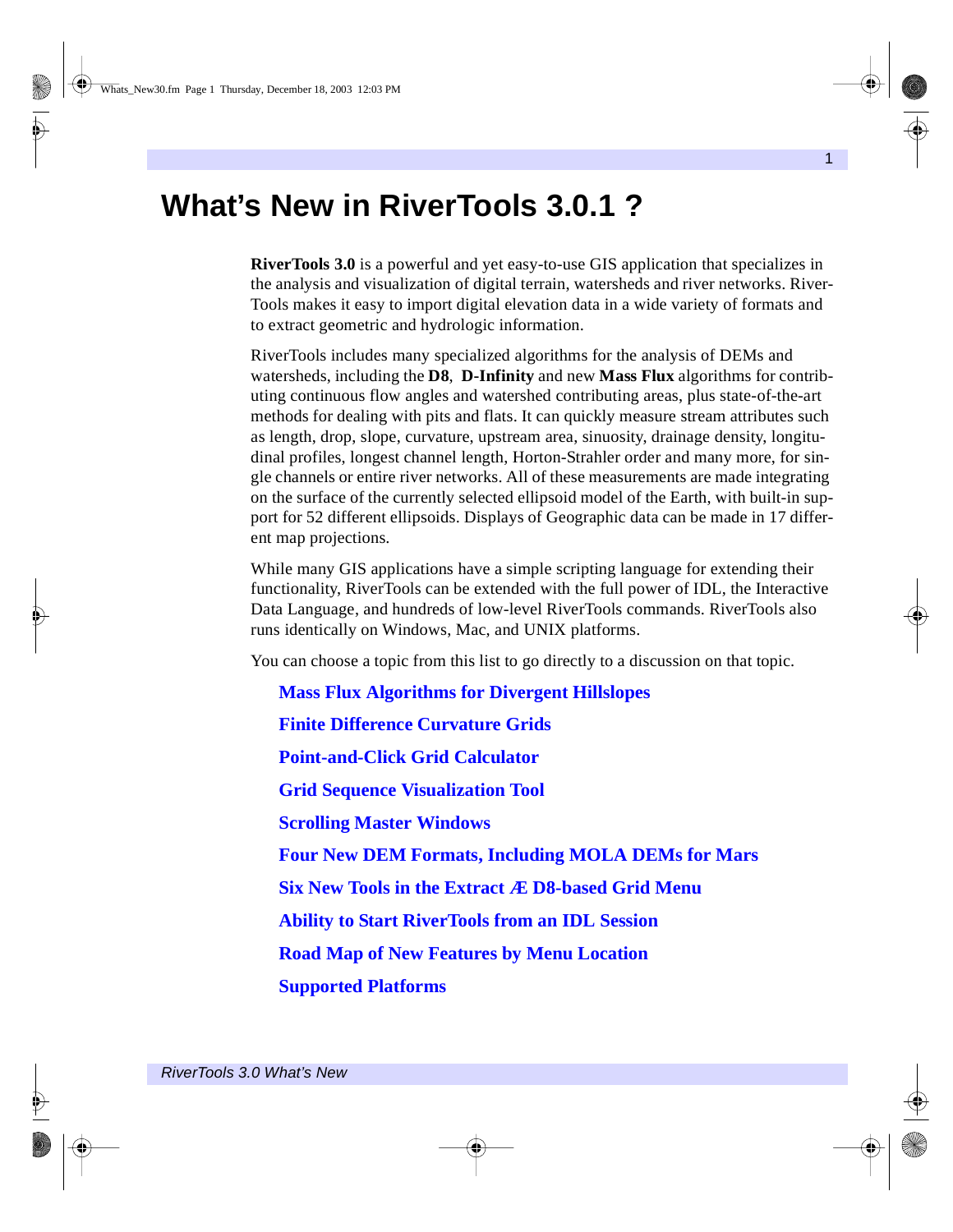# **What's New in RiverTools 3.0.1 ?**

**RiverTools 3.0** is a powerful and yet easy-to-use GIS application that specializes in the analysis and visualization of digital terrain, watersheds and river networks. River-Tools makes it easy to import digital elevation data in a wide variety of formats and to extract geometric and hydrologic information.

RiverTools includes many specialized algorithms for the analysis of DEMs and watersheds, including the **D8**, **D-Infinity** and new **Mass Flux** algorithms for contributing continuous flow angles and watershed contributing areas, plus state-of-the-art methods for dealing with pits and flats. It can quickly measure stream attributes such as length, drop, slope, curvature, upstream area, sinuosity, drainage density, longitudinal profiles, longest channel length, Horton-Strahler order and many more, for single channels or entire river networks. All of these measurements are made integrating on the surface of the currently selected ellipsoid model of the Earth, with built-in support for 52 different ellipsoids. Displays of Geographic data can be made in 17 different map projections.

While many GIS applications have a simple scripting language for extending their functionality, RiverTools can be extended with the full power of IDL, the Interactive Data Language, and hundreds of low-level RiverTools commands. RiverTools also runs identically on Windows, Mac, and UNIX platforms.

You can choose a topic from this list to go directly to a discussion on that topic.

**[Mass Flux Algorithms for Divergent Hillslopes](#page-1-0) [Finite Difference Curvature Grids](#page-2-0) [Point-and-Click Grid Calculator](#page-2-1) [Grid Sequence Visualization Tool](#page-2-2) [Scrolling Master Windows](#page-3-0) [Four New DEM Formats, Including MOLA DEMs for Mars](#page-3-1) [Six New Tools in the Extract Æ D8-based Grid Menu](#page-4-0) [Ability to Start RiverTools from an IDL Session](#page-4-1) [Road Map of New Features by Menu Location](#page-4-2) [Supported Platforms](#page-7-0)**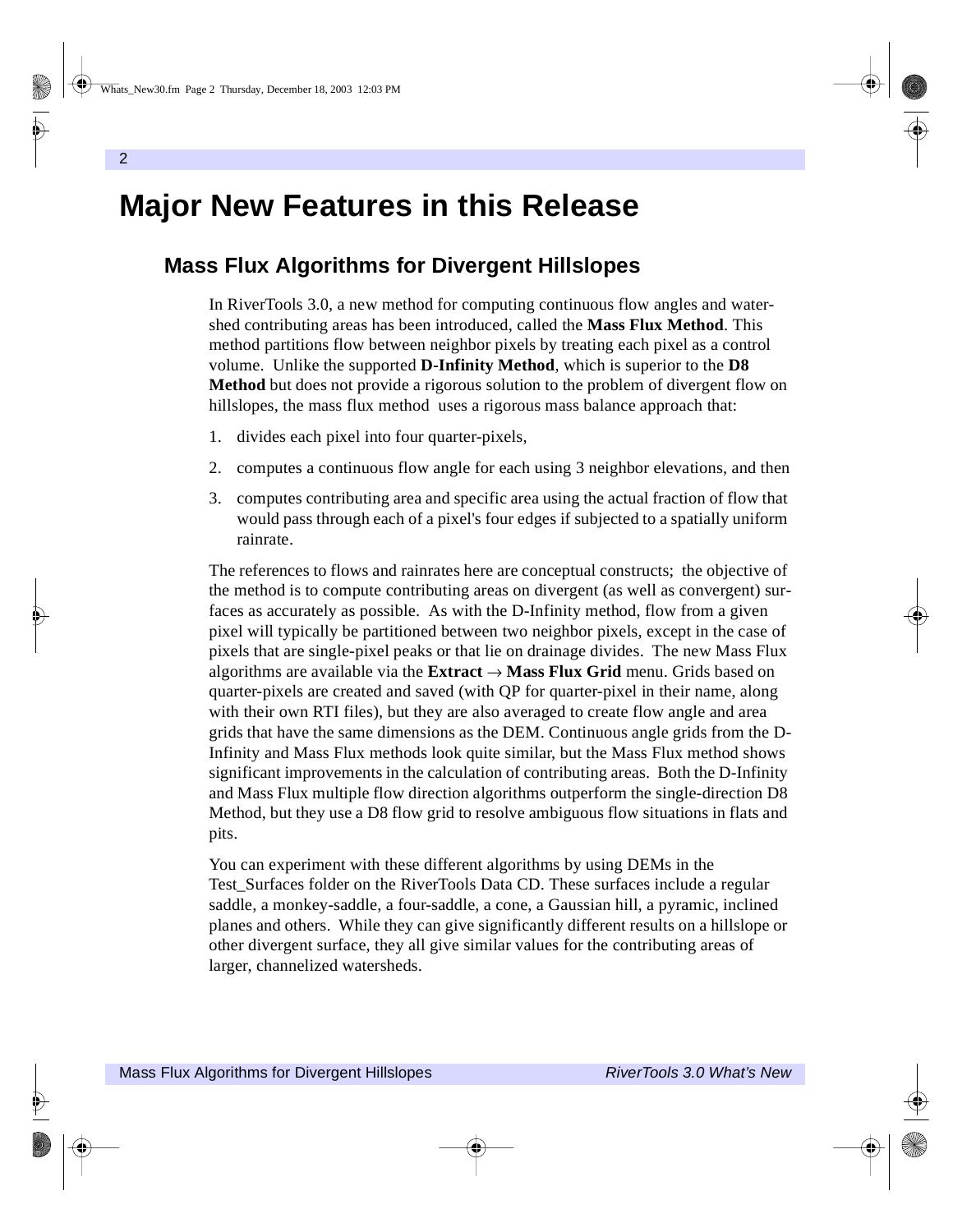# **Major New Features in this Release**

# <span id="page-1-0"></span>**Mass Flux Algorithms for Divergent Hillslopes**

In RiverTools 3.0, a new method for computing continuous flow angles and watershed contributing areas has been introduced, called the **Mass Flux Method**. This method partitions flow between neighbor pixels by treating each pixel as a control volume. Unlike the supported **D-Infinity Method**, which is superior to the **D8 Method** but does not provide a rigorous solution to the problem of divergent flow on hillslopes, the mass flux method uses a rigorous mass balance approach that:

- 1. divides each pixel into four quarter-pixels,
- 2. computes a continuous flow angle for each using 3 neighbor elevations, and then
- 3. computes contributing area and specific area using the actual fraction of flow that would pass through each of a pixel's four edges if subjected to a spatially uniform rainrate.

The references to flows and rainrates here are conceptual constructs; the objective of the method is to compute contributing areas on divergent (as well as convergent) surfaces as accurately as possible. As with the D-Infinity method, flow from a given pixel will typically be partitioned between two neighbor pixels, except in the case of pixels that are single-pixel peaks or that lie on drainage divides. The new Mass Flux algorithms are available via the **Extract** → **Mass Flux Grid** menu. Grids based on quarter-pixels are created and saved (with QP for quarter-pixel in their name, along with their own RTI files), but they are also averaged to create flow angle and area grids that have the same dimensions as the DEM. Continuous angle grids from the D-Infinity and Mass Flux methods look quite similar, but the Mass Flux method shows significant improvements in the calculation of contributing areas. Both the D-Infinity and Mass Flux multiple flow direction algorithms outperform the single-direction D8 Method, but they use a D8 flow grid to resolve ambiguous flow situations in flats and pits.

You can experiment with these different algorithms by using DEMs in the Test\_Surfaces folder on the RiverTools Data CD. These surfaces include a regular saddle, a monkey-saddle, a four-saddle, a cone, a Gaussian hill, a pyramic, inclined planes and others. While they can give significantly different results on a hillslope or other divergent surface, they all give similar values for the contributing areas of larger, channelized watersheds.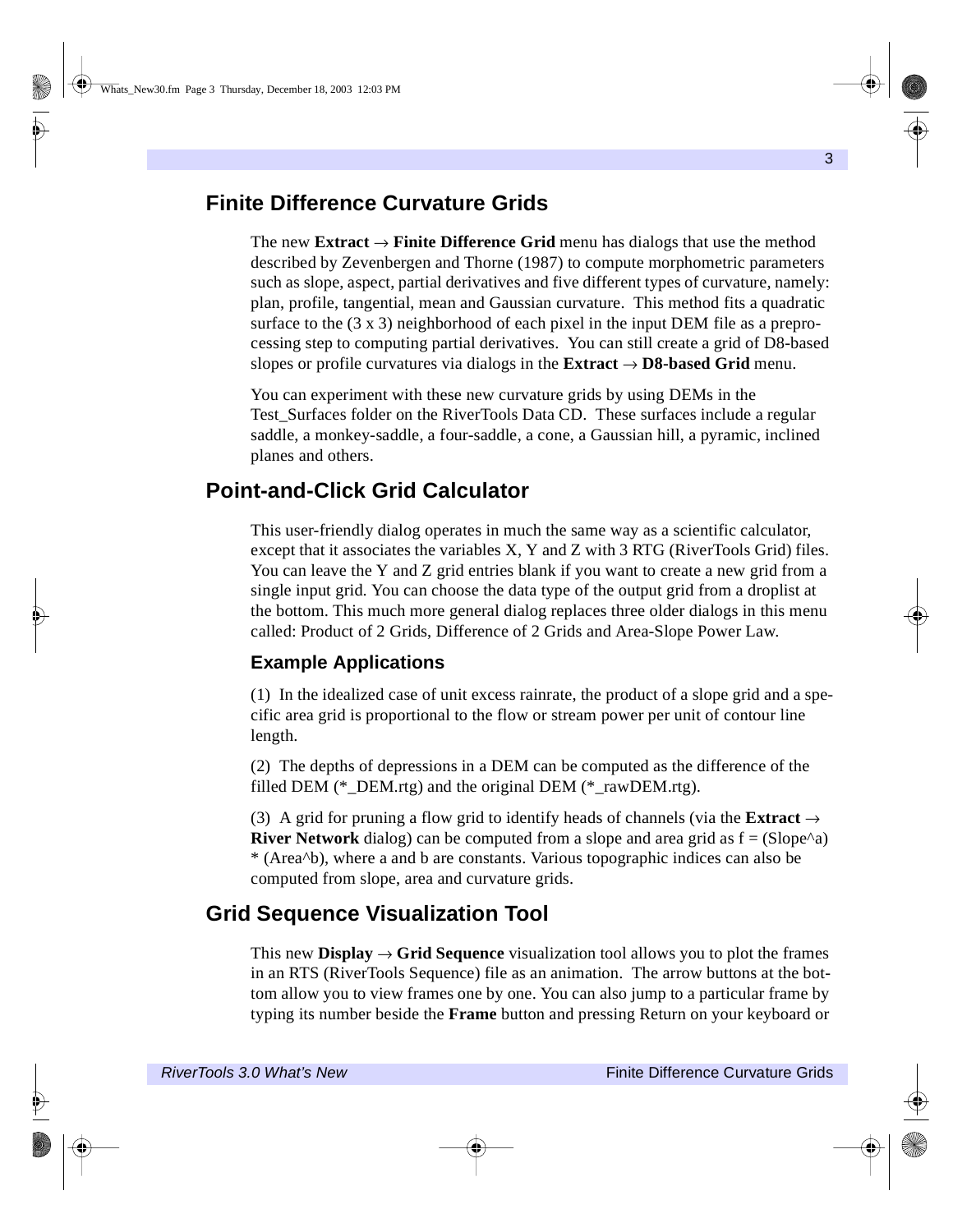### <span id="page-2-0"></span>**Finite Difference Curvature Grids**

The new **Extract** → **Finite Difference Grid** menu has dialogs that use the method described by Zevenbergen and Thorne (1987) to compute morphometric parameters such as slope, aspect, partial derivatives and five different types of curvature, namely: plan, profile, tangential, mean and Gaussian curvature. This method fits a quadratic surface to the (3 x 3) neighborhood of each pixel in the input DEM file as a preprocessing step to computing partial derivatives. You can still create a grid of D8-based slopes or profile curvatures via dialogs in the **Extract**  $\rightarrow$  **D8-based Grid** menu.

You can experiment with these new curvature grids by using DEMs in the Test\_Surfaces folder on the RiverTools Data CD. These surfaces include a regular saddle, a monkey-saddle, a four-saddle, a cone, a Gaussian hill, a pyramic, inclined planes and others.

### <span id="page-2-1"></span>**Point-and-Click Grid Calculator**

This user-friendly dialog operates in much the same way as a scientific calculator, except that it associates the variables X, Y and Z with 3 RTG (RiverTools Grid) files. You can leave the Y and Z grid entries blank if you want to create a new grid from a single input grid. You can choose the data type of the output grid from a droplist at the bottom. This much more general dialog replaces three older dialogs in this menu called: Product of 2 Grids, Difference of 2 Grids and Area-Slope Power Law.

### **Example Applications**

(1) In the idealized case of unit excess rainrate, the product of a slope grid and a specific area grid is proportional to the flow or stream power per unit of contour line length.

(2) The depths of depressions in a DEM can be computed as the difference of the filled DEM (\* DEM.rtg) and the original DEM (\* rawDEM.rtg).

(3) A grid for pruning a flow grid to identify heads of channels (via the **Extract**  $\rightarrow$ **River Network** dialog) can be computed from a slope and area grid as  $f = (Slope^{\wedge}a)$ \* (Area^b), where a and b are constants. Various topographic indices can also be computed from slope, area and curvature grids.

# <span id="page-2-2"></span>**Grid Sequence Visualization Tool**

This new **Display**  $\rightarrow$  **Grid Sequence** visualization tool allows you to plot the frames in an RTS (RiverTools Sequence) file as an animation. The arrow buttons at the bottom allow you to view frames one by one. You can also jump to a particular frame by typing its number beside the **Frame** button and pressing Return on your keyboard or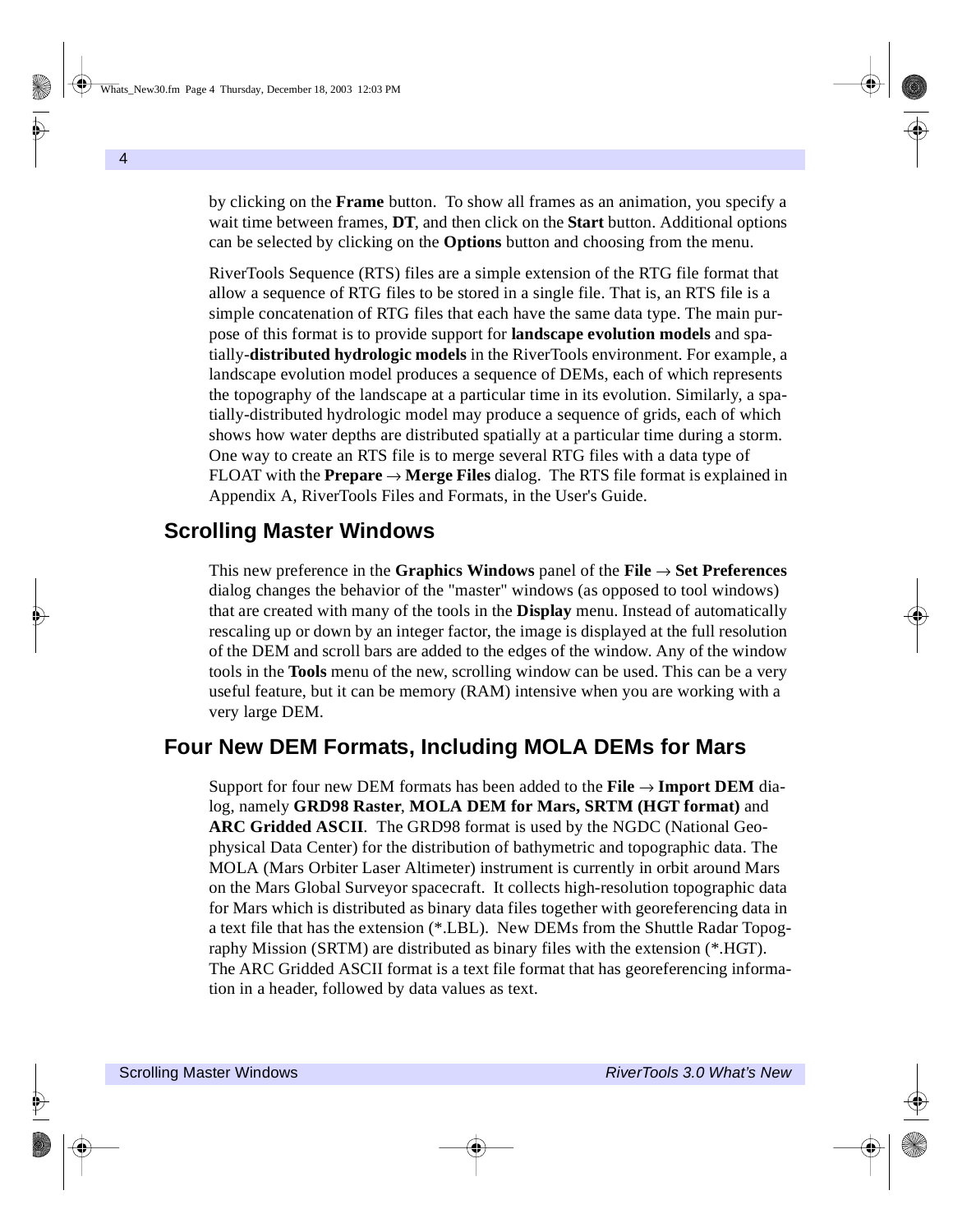by clicking on the **Frame** button. To show all frames as an animation, you specify a wait time between frames, **DT**, and then click on the **Start** button. Additional options can be selected by clicking on the **Options** button and choosing from the menu.

RiverTools Sequence (RTS) files are a simple extension of the RTG file format that allow a sequence of RTG files to be stored in a single file. That is, an RTS file is a simple concatenation of RTG files that each have the same data type. The main purpose of this format is to provide support for **landscape evolution models** and spatially-**distributed hydrologic models** in the RiverTools environment. For example, a landscape evolution model produces a sequence of DEMs, each of which represents the topography of the landscape at a particular time in its evolution. Similarly, a spatially-distributed hydrologic model may produce a sequence of grids, each of which shows how water depths are distributed spatially at a particular time during a storm. One way to create an RTS file is to merge several RTG files with a data type of FLOAT with the **Prepare**  $\rightarrow$  **Merge Files** dialog. The RTS file format is explained in Appendix A, RiverTools Files and Formats, in the User's Guide.

# <span id="page-3-0"></span>**Scrolling Master Windows**

This new preference in the **Graphics Windows** panel of the **File** → **Set Preferences** dialog changes the behavior of the "master" windows (as opposed to tool windows) that are created with many of the tools in the **Display** menu. Instead of automatically rescaling up or down by an integer factor, the image is displayed at the full resolution of the DEM and scroll bars are added to the edges of the window. Any of the window tools in the **Tools** menu of the new, scrolling window can be used. This can be a very useful feature, but it can be memory (RAM) intensive when you are working with a very large DEM.

## <span id="page-3-1"></span>**Four New DEM Formats, Including MOLA DEMs for Mars**

Support for four new DEM formats has been added to the **File** → **Import DEM** dialog, namely **GRD98 Raster**, **MOLA DEM for Mars, SRTM (HGT format)** and **ARC Gridded ASCII**. The GRD98 format is used by the NGDC (National Geophysical Data Center) for the distribution of bathymetric and topographic data. The MOLA (Mars Orbiter Laser Altimeter) instrument is currently in orbit around Mars on the Mars Global Surveyor spacecraft. It collects high-resolution topographic data for Mars which is distributed as binary data files together with georeferencing data in a text file that has the extension (\*.LBL). New DEMs from the Shuttle Radar Topography Mission (SRTM) are distributed as binary files with the extension (\*.HGT). The ARC Gridded ASCII format is a text file format that has georeferencing information in a header, followed by data values as text.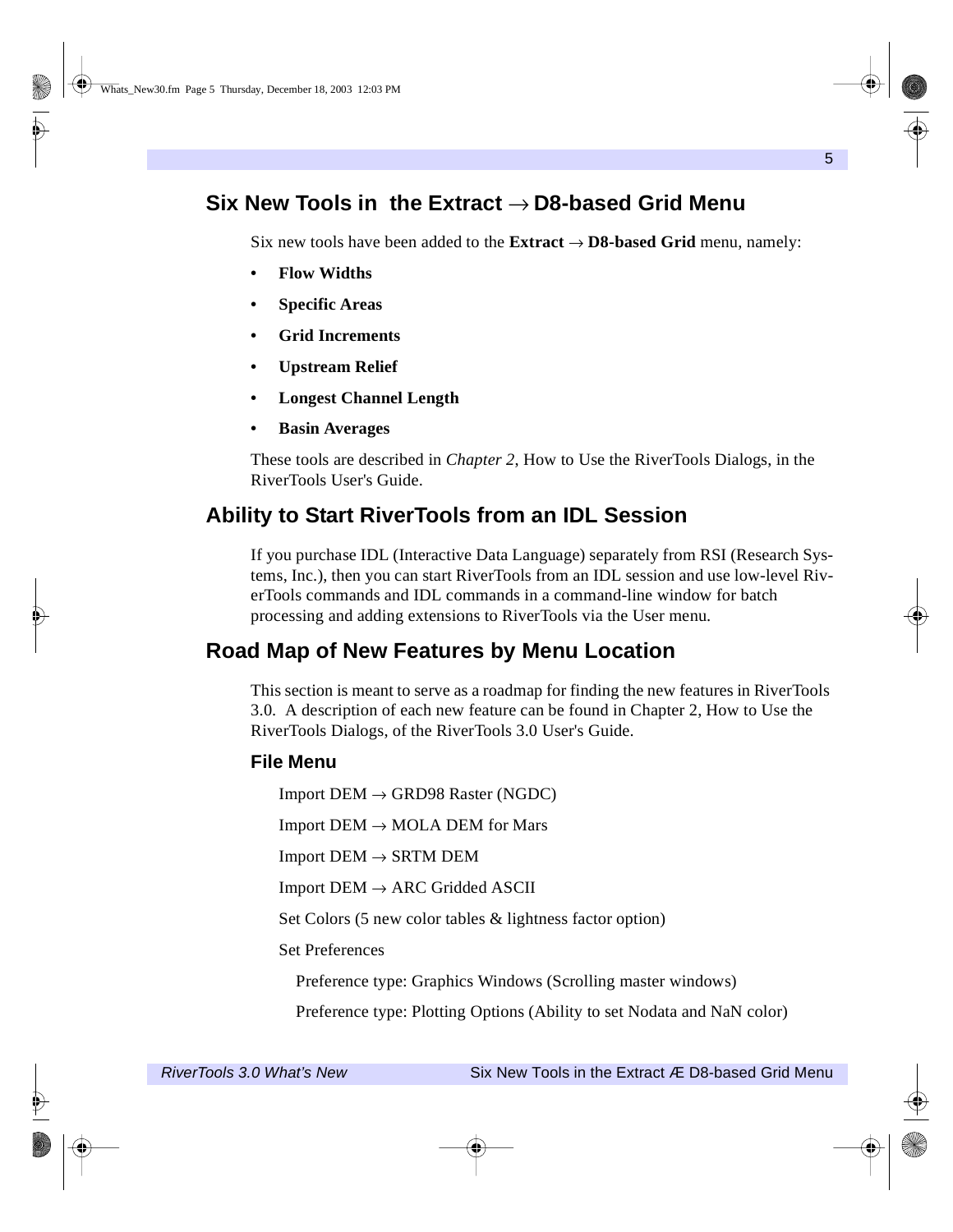## <span id="page-4-0"></span>**Six New Tools in the Extract** → **D8-based Grid Menu**

Six new tools have been added to the **Extract** → **D8-based Grid** menu, namely:

- **Flow Widths**
- **Specific Areas**
- **Grid Increments**
- **Upstream Relief**
- **Longest Channel Length**
- **Basin Averages**

These tools are described in *Chapter 2*, How to Use the RiverTools Dialogs, in the RiverTools User's Guide.

### <span id="page-4-1"></span>**Ability to Start RiverTools from an IDL Session**

If you purchase IDL (Interactive Data Language) separately from RSI (Research Systems, Inc.), then you can start RiverTools from an IDL session and use low-level RiverTools commands and IDL commands in a command-line window for batch processing and adding extensions to RiverTools via the User menu.

### <span id="page-4-2"></span>**Road Map of New Features by Menu Location**

This section is meant to serve as a roadmap for finding the new features in RiverTools 3.0. A description of each new feature can be found in Chapter 2, How to Use the RiverTools Dialogs, of the RiverTools 3.0 User's Guide.

#### **File Menu**

Import  $DEM \rightarrow GRD98$  Raster (NGDC)

Import  $DEM \rightarrow MOLA$  DEM for Mars

 $Import$  DEM  $\rightarrow$  SRTM DEM

 $Import$   $DEM \rightarrow ARC$  Gridded ASCII

Set Colors (5 new color tables & lightness factor option)

Set Preferences

Preference type: Graphics Windows (Scrolling master windows)

Preference type: Plotting Options (Ability to set Nodata and NaN color)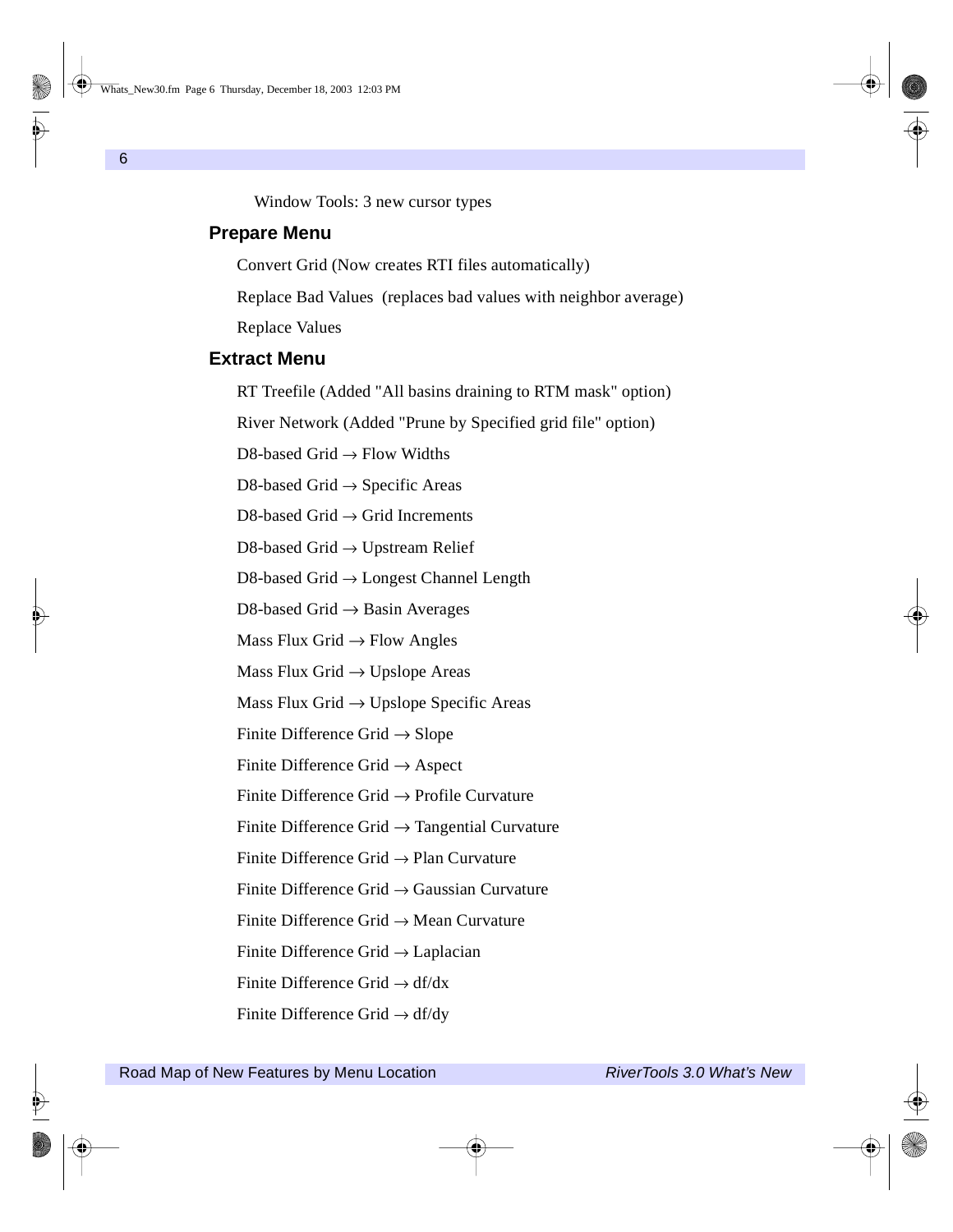Window Tools: 3 new cursor types

#### **Prepare Menu**

Convert Grid (Now creates RTI files automatically)

Replace Bad Values (replaces bad values with neighbor average)

Replace Values

### **Extract Menu**

RT Treefile (Added "All basins draining to RTM mask" option)

River Network (Added "Prune by Specified grid file" option)

D8-based Grid  $\rightarrow$  Flow Widths

D8-based Grid  $\rightarrow$  Specific Areas

D8-based Grid  $\rightarrow$  Grid Increments

D8-based Grid → Upstream Relief

D8-based Grid → Longest Channel Length

D8-based Grid  $\rightarrow$  Basin Averages

Mass Flux Grid  $\rightarrow$  Flow Angles

Mass Flux Grid  $\rightarrow$  Upslope Areas

Mass Flux Grid  $\rightarrow$  Upslope Specific Areas

Finite Difference Grid  $\rightarrow$  Slope

Finite Difference Grid  $\rightarrow$  Aspect

Finite Difference Grid → Profile Curvature

Finite Difference Grid  $\rightarrow$  Tangential Curvature

Finite Difference Grid  $\rightarrow$  Plan Curvature

Finite Difference Grid → Gaussian Curvature

Finite Difference Grid → Mean Curvature

Finite Difference Grid → Laplacian

Finite Difference Grid  $\rightarrow$  df/dx

Finite Difference Grid  $\rightarrow$  df/dy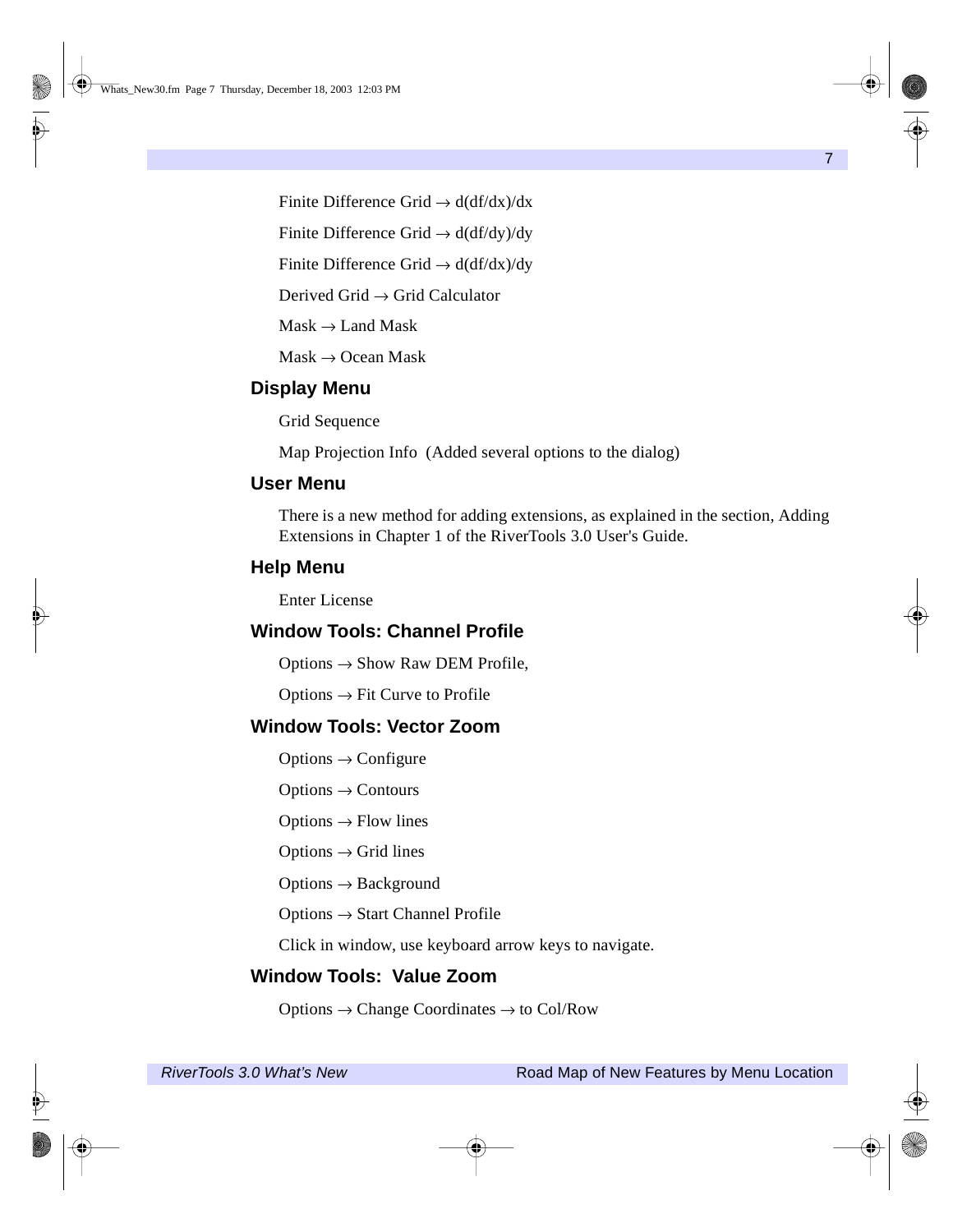Finite Difference Grid  $\rightarrow$  d(df/dx)/dx

Finite Difference Grid  $\rightarrow$  d(df/dy)/dy

Finite Difference Grid  $\rightarrow$  d(df/dx)/dy

Derived Grid  $\rightarrow$  Grid Calculator

 $Mask \rightarrow LandMask$ 

 $Mask \rightarrow Ocean Mask$ 

#### **Display Menu**

Grid Sequence

Map Projection Info (Added several options to the dialog)

#### **User Menu**

There is a new method for adding extensions, as explained in the section, Adding Extensions in Chapter 1 of the RiverTools 3.0 User's Guide.

#### **Help Menu**

Enter License

### **Window Tools: Channel Profile**

 $Options \rightarrow Show Raw DEM Profile,$ 

 $Options \rightarrow Fit$  Curve to Profile

#### **Window Tools: Vector Zoom**

Options  $\rightarrow$  Configure

 $Options \rightarrow Contours$ 

Options  $\rightarrow$  Flow lines

Options  $\rightarrow$  Grid lines

Options  $\rightarrow$  Background

Options → Start Channel Profile

Click in window, use keyboard arrow keys to navigate.

#### **Window Tools: Value Zoom**

Options  $\rightarrow$  Change Coordinates  $\rightarrow$  to Col/Row